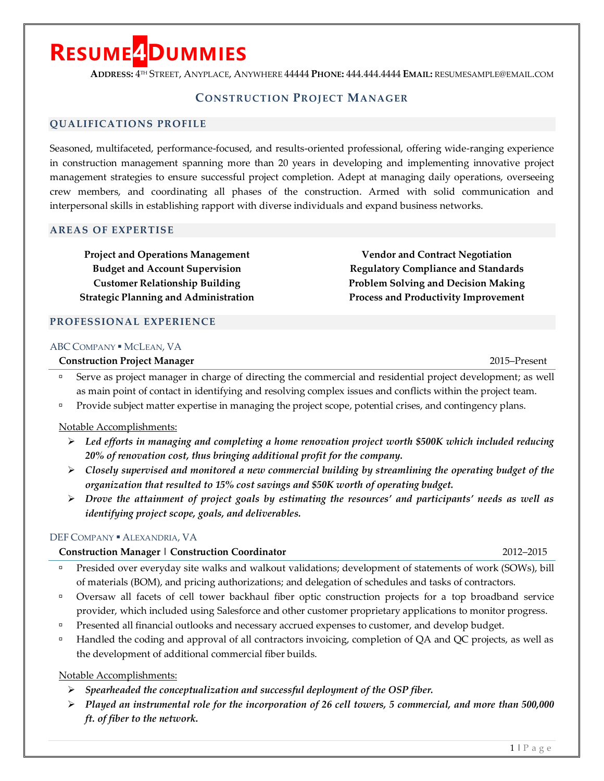# **RESUME4DUMMIES**

**ADDRESS:** 4TH STREET, ANYPLACE, ANYWHERE 44444 **PHONE:** 444.444.4444 **EMAIL:** RESUMESAMPLE@EMAIL.COM

### **CONSTRUCTION PROJECT MANAGER**

#### **QUALIFICATIONS PROFILE**

Seasoned, multifaceted, performance-focused, and results-oriented professional, offering wide-ranging experience in construction management spanning more than 20 years in developing and implementing innovative project management strategies to ensure successful project completion. Adept at managing daily operations, overseeing crew members, and coordinating all phases of the construction. Armed with solid communication and interpersonal skills in establishing rapport with diverse individuals and expand business networks.

#### **AREAS OF EXPERTISE**

**Project and Operations Management Budget and Account Supervision Customer Relationship Building Strategic Planning and Administration**

**Vendor and Contract Negotiation Regulatory Compliance and Standards Problem Solving and Decision Making Process and Productivity Improvement**

## **PROFESSIONAL EXPERIENCE**

#### ABC COMPANY · MCLEAN, VA

**Construction Project Manager** 2015–Present

- Serve as project manager in charge of directing the commercial and residential project development; as well as main point of contact in identifying and resolving complex issues and conflicts within the project team.
- **Provide subject matter expertise in managing the project scope, potential crises, and contingency plans.**

#### Notable Accomplishments:

- *Led efforts in managing and completing a home renovation project worth \$500K which included reducing 20% of renovation cost, thus bringing additional profit for the company.*
- *Closely supervised and monitored a new commercial building by streamlining the operating budget of the organization that resulted to 15% cost savings and \$50K worth of operating budget.*
- *Drove the attainment of project goals by estimating the resources' and participants' needs as well as identifying project scope, goals, and deliverables.*

#### DEF COMPANY · ALEXANDRIA, VA

#### **Construction Manager | Construction Coordinator** 2012–2015

- **Presided over everyday site walks and walkout validations; development of statements of work (SOWs), bill** of materials (BOM), and pricing authorizations; and delegation of schedules and tasks of contractors.
- Oversaw all facets of cell tower backhaul fiber optic construction projects for a top broadband service provider, which included using Salesforce and other customer proprietary applications to monitor progress.
- **Presented all financial outlooks and necessary accrued expenses to customer, and develop budget.**
- <sup>n</sup> Handled the coding and approval of all contractors invoicing, completion of QA and QC projects, as well as the development of additional commercial fiber builds.

#### Notable Accomplishments:

- *Spearheaded the conceptualization and successful deployment of the OSP fiber.*
- *Played an instrumental role for the incorporation of 26 cell towers, 5 commercial, and more than 500,000 ft. of fiber to the network.*